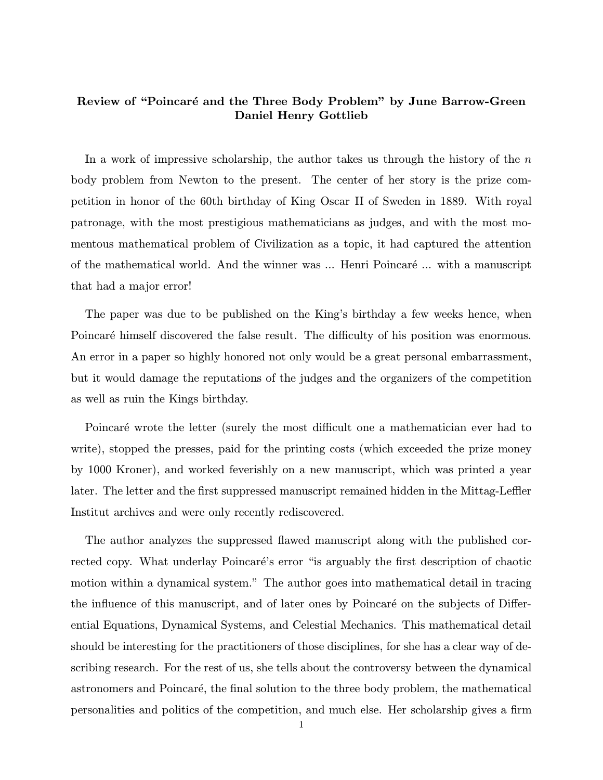## Review of "Poincaré and the Three Body Problem" by June Barrow-Green Daniel Henry Gottlieb

In a work of impressive scholarship, the author takes us through the history of the  $n$ body problem from Newton to the present. The center of her story is the prize competition in honor of the 60th birthday of King Oscar II of Sweden in 1889. With royal patronage, with the most prestigious mathematicians as judges, and with the most momentous mathematical problem of Civilization as a topic, it had captured the attention of the mathematical world. And the winner was ... Henri Poincaré ... with a manuscript that had a major error!

The paper was due to be published on the King's birthday a few weeks hence, when Poincaré himself discovered the false result. The difficulty of his position was enormous. An error in a paper so highly honored not only would be a great personal embarrassment, but it would damage the reputations of the judges and the organizers of the competition as well as ruin the Kings birthday.

Poincaré wrote the letter (surely the most difficult one a mathematician ever had to write), stopped the presses, paid for the printing costs (which exceeded the prize money by 1000 Kroner), and worked feverishly on a new manuscript, which was printed a year later. The letter and the first suppressed manuscript remained hidden in the Mittag-Leffler Institut archives and were only recently rediscovered.

The author analyzes the suppressed flawed manuscript along with the published corrected copy. What underlay Poincaré's error "is arguably the first description of chaotic motion within a dynamical system." The author goes into mathematical detail in tracing the influence of this manuscript, and of later ones by Poincaré on the subjects of Differential Equations, Dynamical Systems, and Celestial Mechanics. This mathematical detail should be interesting for the practitioners of those disciplines, for she has a clear way of describing research. For the rest of us, she tells about the controversy between the dynamical astronomers and Poincaré, the final solution to the three body problem, the mathematical personalities and politics of the competition, and much else. Her scholarship gives a firm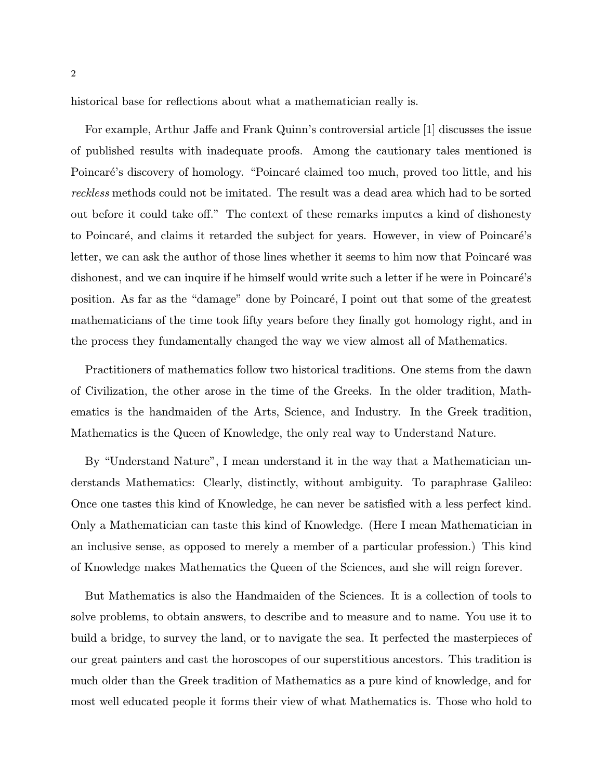historical base for reflections about what a mathematician really is.

For example, Arthur Jaffe and Frank Quinn's controversial article [1] discusses the issue of published results with inadequate proofs. Among the cautionary tales mentioned is Poincaré's discovery of homology. "Poincaré claimed too much, proved too little, and his reckless methods could not be imitated. The result was a dead area which had to be sorted out before it could take off." The context of these remarks imputes a kind of dishonesty to Poincaré, and claims it retarded the subject for years. However, in view of Poincaré's letter, we can ask the author of those lines whether it seems to him now that Poincaré was dishonest, and we can inquire if he himself would write such a letter if he were in Poincaré's position. As far as the "damage" done by Poincaré, I point out that some of the greatest mathematicians of the time took fifty years before they finally got homology right, and in the process they fundamentally changed the way we view almost all of Mathematics.

Practitioners of mathematics follow two historical traditions. One stems from the dawn of Civilization, the other arose in the time of the Greeks. In the older tradition, Mathematics is the handmaiden of the Arts, Science, and Industry. In the Greek tradition, Mathematics is the Queen of Knowledge, the only real way to Understand Nature.

By "Understand Nature", I mean understand it in the way that a Mathematician understands Mathematics: Clearly, distinctly, without ambiguity. To paraphrase Galileo: Once one tastes this kind of Knowledge, he can never be satisfied with a less perfect kind. Only a Mathematician can taste this kind of Knowledge. (Here I mean Mathematician in an inclusive sense, as opposed to merely a member of a particular profession.) This kind of Knowledge makes Mathematics the Queen of the Sciences, and she will reign forever.

But Mathematics is also the Handmaiden of the Sciences. It is a collection of tools to solve problems, to obtain answers, to describe and to measure and to name. You use it to build a bridge, to survey the land, or to navigate the sea. It perfected the masterpieces of our great painters and cast the horoscopes of our superstitious ancestors. This tradition is much older than the Greek tradition of Mathematics as a pure kind of knowledge, and for most well educated people it forms their view of what Mathematics is. Those who hold to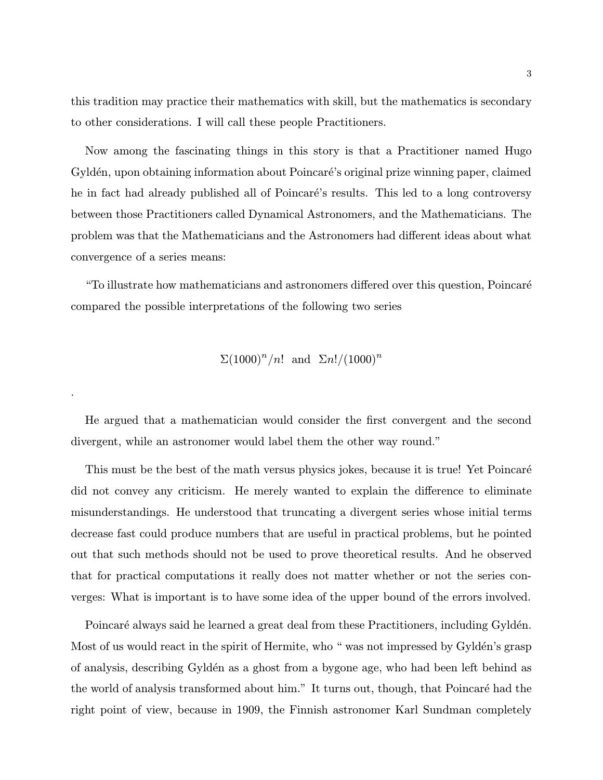this tradition may practice their mathematics with skill, but the mathematics is secondary to other considerations. I will call these people Practitioners.

Now among the fascinating things in this story is that a Practitioner named Hugo Gyldén, upon obtaining information about Poincaré's original prize winning paper, claimed he in fact had already published all of Poincaré's results. This led to a long controversy between those Practitioners called Dynamical Astronomers, and the Mathematicians. The problem was that the Mathematicians and the Astronomers had different ideas about what convergence of a series means:

"To illustrate how mathematicians and astronomers differed over this question, Poincar´e compared the possible interpretations of the following two series

$$
\Sigma (1000)^n/n! \text{ and } \Sigma n!/(1000)^n
$$

.

He argued that a mathematician would consider the first convergent and the second divergent, while an astronomer would label them the other way round."

This must be the best of the math versus physics jokes, because it is true! Yet Poincaré did not convey any criticism. He merely wanted to explain the difference to eliminate misunderstandings. He understood that truncating a divergent series whose initial terms decrease fast could produce numbers that are useful in practical problems, but he pointed out that such methods should not be used to prove theoretical results. And he observed that for practical computations it really does not matter whether or not the series converges: What is important is to have some idea of the upper bound of the errors involved.

Poincaré always said he learned a great deal from these Practitioners, including Gyldén. Most of us would react in the spirit of Hermite, who " was not impressed by Gylden's grasp of analysis, describing Gyld´en as a ghost from a bygone age, who had been left behind as the world of analysis transformed about him." It turns out, though, that Poincaré had the right point of view, because in 1909, the Finnish astronomer Karl Sundman completely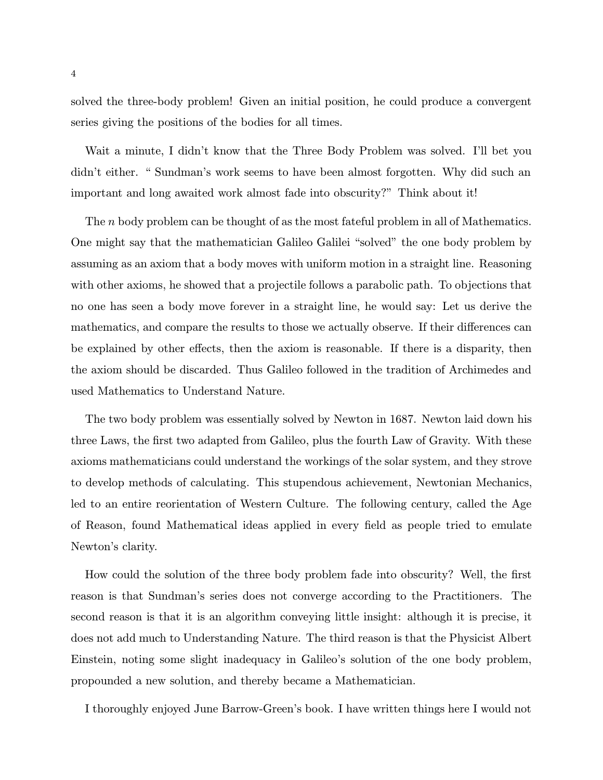solved the three-body problem! Given an initial position, he could produce a convergent series giving the positions of the bodies for all times.

Wait a minute, I didn't know that the Three Body Problem was solved. I'll bet you didn't either. " Sundman's work seems to have been almost forgotten. Why did such an important and long awaited work almost fade into obscurity?" Think about it!

The *n* body problem can be thought of as the most fateful problem in all of Mathematics. One might say that the mathematician Galileo Galilei "solved" the one body problem by assuming as an axiom that a body moves with uniform motion in a straight line. Reasoning with other axioms, he showed that a projectile follows a parabolic path. To objections that no one has seen a body move forever in a straight line, he would say: Let us derive the mathematics, and compare the results to those we actually observe. If their differences can be explained by other effects, then the axiom is reasonable. If there is a disparity, then the axiom should be discarded. Thus Galileo followed in the tradition of Archimedes and used Mathematics to Understand Nature.

The two body problem was essentially solved by Newton in 1687. Newton laid down his three Laws, the first two adapted from Galileo, plus the fourth Law of Gravity. With these axioms mathematicians could understand the workings of the solar system, and they strove to develop methods of calculating. This stupendous achievement, Newtonian Mechanics, led to an entire reorientation of Western Culture. The following century, called the Age of Reason, found Mathematical ideas applied in every field as people tried to emulate Newton's clarity.

How could the solution of the three body problem fade into obscurity? Well, the first reason is that Sundman's series does not converge according to the Practitioners. The second reason is that it is an algorithm conveying little insight: although it is precise, it does not add much to Understanding Nature. The third reason is that the Physicist Albert Einstein, noting some slight inadequacy in Galileo's solution of the one body problem, propounded a new solution, and thereby became a Mathematician.

I thoroughly enjoyed June Barrow-Green's book. I have written things here I would not